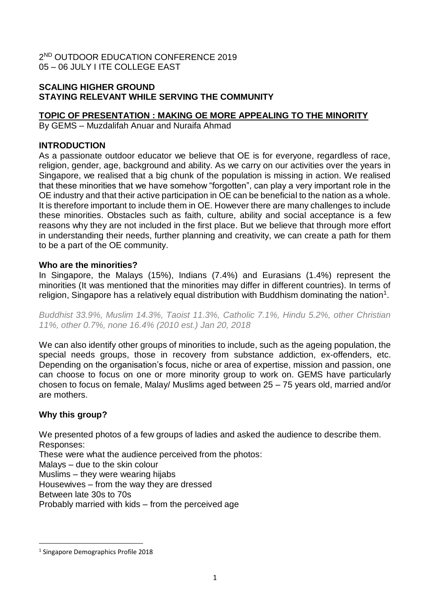2 ND OUTDOOR EDUCATION CONFERENCE 2019 05 – 06 JULY I ITE COLLEGE EAST

# **SCALING HIGHER GROUND STAYING RELEVANT WHILE SERVING THE COMMUNITY**

## **TOPIC OF PRESENTATION : MAKING OE MORE APPEALING TO THE MINORITY**

By GEMS – Muzdalifah Anuar and Nuraifa Ahmad

### **INTRODUCTION**

As a passionate outdoor educator we believe that OE is for everyone, regardless of race, religion, gender, age, background and ability. As we carry on our activities over the years in Singapore, we realised that a big chunk of the population is missing in action. We realised that these minorities that we have somehow "forgotten", can play a very important role in the OE industry and that their active participation in OE can be beneficial to the nation as a whole. It is therefore important to include them in OE. However there are many challenges to include these minorities. Obstacles such as faith, culture, ability and social acceptance is a few reasons why they are not included in the first place. But we believe that through more effort in understanding their needs, further planning and creativity, we can create a path for them to be a part of the OE community.

### **Who are the minorities?**

In Singapore, the Malays (15%), Indians (7.4%) and Eurasians (1.4%) represent the minorities (It was mentioned that the minorities may differ in different countries). In terms of religion, Singapore has a relatively equal distribution with Buddhism dominating the nation<sup>1</sup>.

*Buddhist 33.9%, Muslim 14.3%, Taoist 11.3%, Catholic 7.1%, Hindu 5.2%, other Christian 11%, other 0.7%, none 16.4% (2010 est.) Jan 20, 2018*

We can also identify other groups of minorities to include, such as the ageing population, the special needs groups, those in recovery from substance addiction, ex-offenders, etc. Depending on the organisation's focus, niche or area of expertise, mission and passion, one can choose to focus on one or more minority group to work on. GEMS have particularly chosen to focus on female, Malay/ Muslims aged between 25 – 75 years old, married and/or are mothers.

# **Why this group?**

We presented photos of a few groups of ladies and asked the audience to describe them. Responses:

These were what the audience perceived from the photos:

Malays – due to the skin colour

Muslims – they were wearing hijabs

Housewives – from the way they are dressed

Between late 30s to 70s

.

Probably married with kids – from the perceived age

<sup>1</sup> Singapore Demographics Profile 2018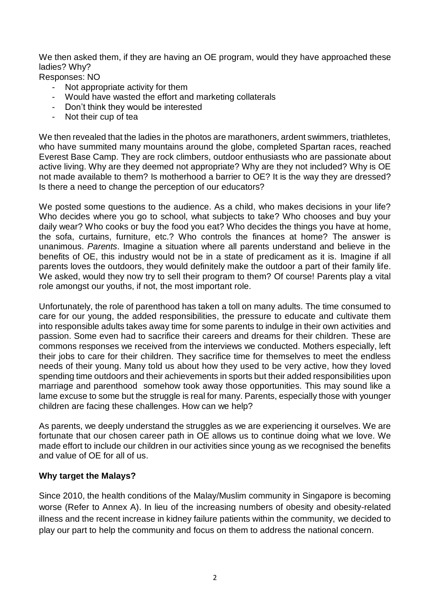We then asked them, if they are having an OE program, would they have approached these ladies? Why?

Responses: NO

- Not appropriate activity for them
- Would have wasted the effort and marketing collaterals
- Don't think they would be interested
- Not their cup of tea

We then revealed that the ladies in the photos are marathoners, ardent swimmers, triathletes, who have summited many mountains around the globe, completed Spartan races, reached Everest Base Camp. They are rock climbers, outdoor enthusiasts who are passionate about active living. Why are they deemed not appropriate? Why are they not included? Why is OE not made available to them? Is motherhood a barrier to OE? It is the way they are dressed? Is there a need to change the perception of our educators?

We posted some questions to the audience. As a child, who makes decisions in your life? Who decides where you go to school, what subjects to take? Who chooses and buy your daily wear? Who cooks or buy the food you eat? Who decides the things you have at home, the sofa, curtains, furniture, etc.? Who controls the finances at home? The answer is unanimous. *Parents*. Imagine a situation where all parents understand and believe in the benefits of OE, this industry would not be in a state of predicament as it is. Imagine if all parents loves the outdoors, they would definitely make the outdoor a part of their family life. We asked, would they now try to sell their program to them? Of course! Parents play a vital role amongst our youths, if not, the most important role.

Unfortunately, the role of parenthood has taken a toll on many adults. The time consumed to care for our young, the added responsibilities, the pressure to educate and cultivate them into responsible adults takes away time for some parents to indulge in their own activities and passion. Some even had to sacrifice their careers and dreams for their children. These are commons responses we received from the interviews we conducted. Mothers especially, left their jobs to care for their children. They sacrifice time for themselves to meet the endless needs of their young. Many told us about how they used to be very active, how they loved spending time outdoors and their achievements in sports but their added responsibilities upon marriage and parenthood somehow took away those opportunities. This may sound like a lame excuse to some but the struggle is real for many. Parents, especially those with younger children are facing these challenges. How can we help?

As parents, we deeply understand the struggles as we are experiencing it ourselves. We are fortunate that our chosen career path in OE allows us to continue doing what we love. We made effort to include our children in our activities since young as we recognised the benefits and value of OE for all of us.

### **Why target the Malays?**

Since 2010, the health conditions of the Malay/Muslim community in Singapore is becoming worse (Refer to Annex A). In lieu of the increasing numbers of obesity and obesity-related illness and the recent increase in kidney failure patients within the community, we decided to play our part to help the community and focus on them to address the national concern.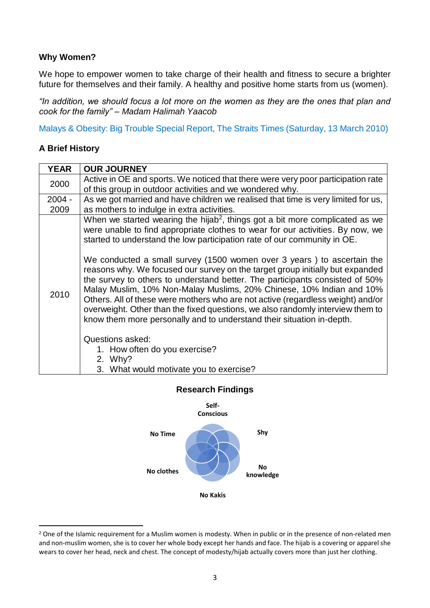## **Why Women?**

We hope to empower women to take charge of their health and fitness to secure a brighter future for themselves and their family. A healthy and positive home starts from us (women).

*"In addition, we should focus a lot more on the women as they are the ones that plan and cook for the family" – Madam Halimah Yaacob*

[Malays & Obesity: Big Trouble Special Report, The Straits Times \(Saturday, 13 March 2010\)](https://www.nuh.com.sg/wbn/slot/u2995/Mediaarticlesmar10/ST_13Mar10_Malays_and_Obesity_Big_Trouble.pdf)

### **A Brief History**

.

| <b>YEAR</b> | <b>OUR JOURNEY</b>                                                                                                                                                                                                                                                                                                                                                                                                                                                                                                                                                                                                                                                                                                                                                                                                                                                                                                                 |
|-------------|------------------------------------------------------------------------------------------------------------------------------------------------------------------------------------------------------------------------------------------------------------------------------------------------------------------------------------------------------------------------------------------------------------------------------------------------------------------------------------------------------------------------------------------------------------------------------------------------------------------------------------------------------------------------------------------------------------------------------------------------------------------------------------------------------------------------------------------------------------------------------------------------------------------------------------|
| 2000        | Active in OE and sports. We noticed that there were very poor participation rate                                                                                                                                                                                                                                                                                                                                                                                                                                                                                                                                                                                                                                                                                                                                                                                                                                                   |
|             | of this group in outdoor activities and we wondered why.                                                                                                                                                                                                                                                                                                                                                                                                                                                                                                                                                                                                                                                                                                                                                                                                                                                                           |
| $2004 -$    | As we got married and have children we realised that time is very limited for us,                                                                                                                                                                                                                                                                                                                                                                                                                                                                                                                                                                                                                                                                                                                                                                                                                                                  |
| 2009        | as mothers to indulge in extra activities.                                                                                                                                                                                                                                                                                                                                                                                                                                                                                                                                                                                                                                                                                                                                                                                                                                                                                         |
| 2010        | When we started wearing the hijab <sup>2</sup> , things got a bit more complicated as we<br>were unable to find appropriate clothes to wear for our activities. By now, we<br>started to understand the low participation rate of our community in OE.<br>We conducted a small survey (1500 women over 3 years) to ascertain the<br>reasons why. We focused our survey on the target group initially but expanded<br>the survey to others to understand better. The participants consisted of 50%<br>Malay Muslim, 10% Non-Malay Muslims, 20% Chinese, 10% Indian and 10%<br>Others. All of these were mothers who are not active (regardless weight) and/or<br>overweight. Other than the fixed questions, we also randomly interview them to<br>know them more personally and to understand their situation in-depth.<br>Questions asked:<br>1. How often do you exercise?<br>2. Why?<br>3. What would motivate you to exercise? |



### **Research Findings**

<sup>&</sup>lt;sup>2</sup> One of the Islamic requirement for a Muslim women is modesty. When in public or in the presence of non-related men and non-muslim women, she is to cover her whole body except her hands and face. The hijab is a covering or apparel she wears to cover her head, neck and chest. The concept of modesty/hijab actually covers more than just her clothing.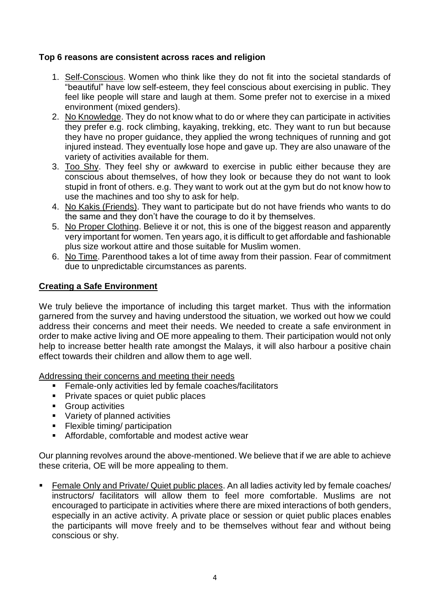## **Top 6 reasons are consistent across races and religion**

- 1. Self-Conscious. Women who think like they do not fit into the societal standards of "beautiful" have low self-esteem, they feel conscious about exercising in public. They feel like people will stare and laugh at them. Some prefer not to exercise in a mixed environment (mixed genders).
- 2. No Knowledge. They do not know what to do or where they can participate in activities they prefer e.g. rock climbing, kayaking, trekking, etc. They want to run but because they have no proper guidance, they applied the wrong techniques of running and got injured instead. They eventually lose hope and gave up. They are also unaware of the variety of activities available for them.
- 3. Too Shy. They feel shy or awkward to exercise in public either because they are conscious about themselves, of how they look or because they do not want to look stupid in front of others. e.g. They want to work out at the gym but do not know how to use the machines and too shy to ask for help.
- 4. No Kakis (Friends). They want to participate but do not have friends who wants to do the same and they don't have the courage to do it by themselves.
- 5. No Proper Clothing. Believe it or not, this is one of the biggest reason and apparently very important for women. Ten years ago, it is difficult to get affordable and fashionable plus size workout attire and those suitable for Muslim women.
- 6. No Time. Parenthood takes a lot of time away from their passion. Fear of commitment due to unpredictable circumstances as parents.

### **Creating a Safe Environment**

We truly believe the importance of including this target market. Thus with the information garnered from the survey and having understood the situation, we worked out how we could address their concerns and meet their needs. We needed to create a safe environment in order to make active living and OE more appealing to them. Their participation would not only help to increase better health rate amongst the Malays, it will also harbour a positive chain effect towards their children and allow them to age well.

Addressing their concerns and meeting their needs

- Female-only activities led by female coaches/facilitators
- Private spaces or quiet public places
- Group activities
- Variety of planned activities
- **•** Flexible timing/ participation
- Affordable, comfortable and modest active wear

Our planning revolves around the above-mentioned. We believe that if we are able to achieve these criteria, OE will be more appealing to them.

Eemale Only and Private/ Quiet public places. An all ladies activity led by female coaches/ instructors/ facilitators will allow them to feel more comfortable. Muslims are not encouraged to participate in activities where there are mixed interactions of both genders, especially in an active activity. A private place or session or quiet public places enables the participants will move freely and to be themselves without fear and without being conscious or shy.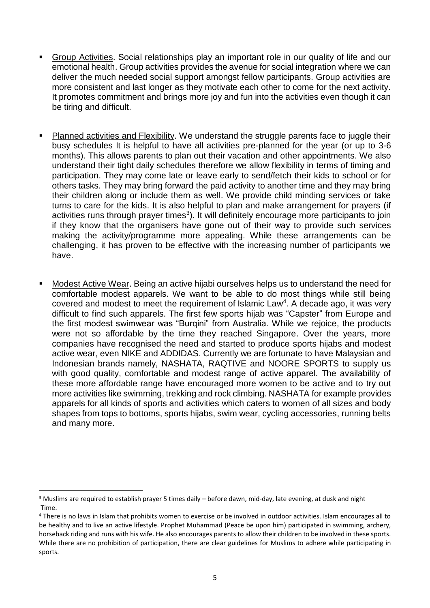- Group Activities. Social relationships play an important role in our quality of life and our emotional health. Group activities provides the avenue for social integration where we can deliver the much needed social support amongst fellow participants. Group activities are more consistent and last longer as they motivate each other to come for the next activity. It promotes commitment and brings more joy and fun into the activities even though it can be tiring and difficult.
- Planned activities and Flexibility. We understand the struggle parents face to juggle their busy schedules It is helpful to have all activities pre-planned for the year (or up to 3-6 months). This allows parents to plan out their vacation and other appointments. We also understand their tight daily schedules therefore we allow flexibility in terms of timing and participation. They may come late or leave early to send/fetch their kids to school or for others tasks. They may bring forward the paid activity to another time and they may bring their children along or include them as well. We provide child minding services or take turns to care for the kids. It is also helpful to plan and make arrangement for prayers (if activities runs through prayer times<sup>3</sup>). It will definitely encourage more participants to join if they know that the organisers have gone out of their way to provide such services making the activity/programme more appealing. While these arrangements can be challenging, it has proven to be effective with the increasing number of participants we have.
- Modest Active Wear. Being an active hijabi ourselves helps us to understand the need for comfortable modest apparels. We want to be able to do most things while still being covered and modest to meet the requirement of Islamic Law<sup>4</sup>. A decade ago, it was very difficult to find such apparels. The first few sports hijab was "Capster" from Europe and the first modest swimwear was "Burqini" from Australia. While we rejoice, the products were not so affordable by the time they reached Singapore. Over the years, more companies have recognised the need and started to produce sports hijabs and modest active wear, even NIKE and ADDIDAS. Currently we are fortunate to have Malaysian and Indonesian brands namely, NASHATA, RAQTIVE and NOORE SPORTS to supply us with good quality, comfortable and modest range of active apparel. The availability of these more affordable range have encouraged more women to be active and to try out more activities like swimming, trekking and rock climbing. NASHATA for example provides apparels for all kinds of sports and activities which caters to women of all sizes and body shapes from tops to bottoms, sports hijabs, swim wear, cycling accessories, running belts and many more.

.

<sup>3</sup> Muslims are required to establish prayer 5 times daily – before dawn, mid-day, late evening, at dusk and night Time.

<sup>4</sup> There is no laws in Islam that prohibits women to exercise or be involved in outdoor activities. Islam encourages all to be healthy and to live an active lifestyle. Prophet Muhammad (Peace be upon him) participated in swimming, archery, horseback riding and runs with his wife. He also encourages parents to allow their children to be involved in these sports. While there are no prohibition of participation, there are clear guidelines for Muslims to adhere while participating in sports.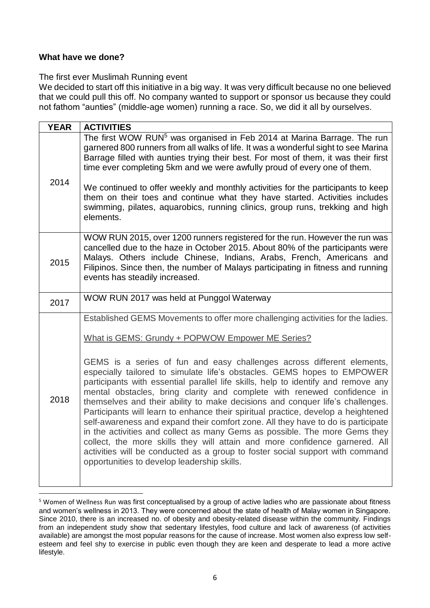### **What have we done?**

.

### The first ever Muslimah Running event

We decided to start off this initiative in a big way. It was very difficult because no one believed that we could pull this off. No company wanted to support or sponsor us because they could not fathom "aunties" (middle-age women) running a race. So, we did it all by ourselves.

| <b>YEAR</b> | <b>ACTIVITIES</b>                                                                                                                                                                                                                                                                                                                                                                                                                                                                                                                                                                                                                                                                                                                                                                                                                                                        |
|-------------|--------------------------------------------------------------------------------------------------------------------------------------------------------------------------------------------------------------------------------------------------------------------------------------------------------------------------------------------------------------------------------------------------------------------------------------------------------------------------------------------------------------------------------------------------------------------------------------------------------------------------------------------------------------------------------------------------------------------------------------------------------------------------------------------------------------------------------------------------------------------------|
| 2014        | The first WOW RUN <sup>5</sup> was organised in Feb 2014 at Marina Barrage. The run<br>garnered 800 runners from all walks of life. It was a wonderful sight to see Marina<br>Barrage filled with aunties trying their best. For most of them, it was their first<br>time ever completing 5km and we were awfully proud of every one of them.<br>We continued to offer weekly and monthly activities for the participants to keep<br>them on their toes and continue what they have started. Activities includes<br>swimming, pilates, aquarobics, running clinics, group runs, trekking and high<br>elements.                                                                                                                                                                                                                                                           |
| 2015        | WOW RUN 2015, over 1200 runners registered for the run. However the run was<br>cancelled due to the haze in October 2015. About 80% of the participants were<br>Malays. Others include Chinese, Indians, Arabs, French, Americans and<br>Filipinos. Since then, the number of Malays participating in fitness and running<br>events has steadily increased.                                                                                                                                                                                                                                                                                                                                                                                                                                                                                                              |
| 2017        | WOW RUN 2017 was held at Punggol Waterway                                                                                                                                                                                                                                                                                                                                                                                                                                                                                                                                                                                                                                                                                                                                                                                                                                |
|             | Established GEMS Movements to offer more challenging activities for the ladies.                                                                                                                                                                                                                                                                                                                                                                                                                                                                                                                                                                                                                                                                                                                                                                                          |
| 2018        | What is GEMS: Grundy + POPWOW Empower ME Series?                                                                                                                                                                                                                                                                                                                                                                                                                                                                                                                                                                                                                                                                                                                                                                                                                         |
|             | GEMS is a series of fun and easy challenges across different elements,<br>especially tailored to simulate life's obstacles. GEMS hopes to EMPOWER<br>participants with essential parallel life skills, help to identify and remove any<br>mental obstacles, bring clarity and complete with renewed confidence in<br>themselves and their ability to make decisions and conquer life's challenges.<br>Participants will learn to enhance their spiritual practice, develop a heightened<br>self-awareness and expand their comfort zone. All they have to do is participate<br>in the activities and collect as many Gems as possible. The more Gems they<br>collect, the more skills they will attain and more confidence garnered. All<br>activities will be conducted as a group to foster social support with command<br>opportunities to develop leadership skills. |

<sup>5</sup> Women of Wellness Run was first conceptualised by a group of active ladies who are passionate about fitness and women's wellness in 2013. They were concerned about the state of health of Malay women in Singapore. Since 2010, there is an increased no. of obesity and obesity-related disease within the community. Findings from an independent study show that sedentary lifestyles, food culture and lack of awareness (of activities available) are amongst the most popular reasons for the cause of increase. Most women also express low selfesteem and feel shy to exercise in public even though they are keen and desperate to lead a more active lifestyle.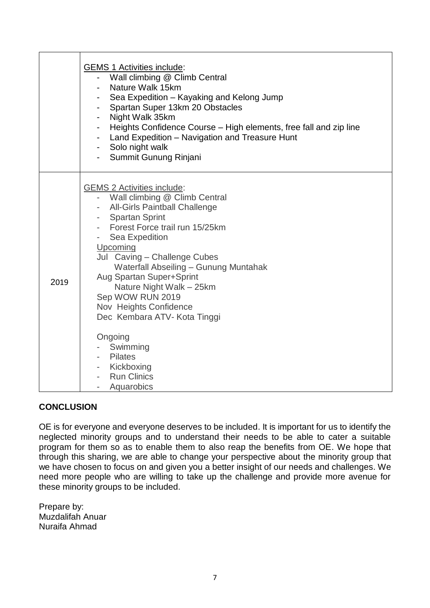|      | <b>GEMS 1 Activities include:</b><br>Wall climbing @ Climb Central<br>Nature Walk 15km<br>Sea Expedition - Kayaking and Kelong Jump<br>Spartan Super 13km 20 Obstacles<br>Night Walk 35km<br>Heights Confidence Course - High elements, free fall and zip line<br>- Land Expedition - Navigation and Treasure Hunt<br>- Solo night walk<br>Summit Gunung Rinjani<br>$\sim$                                   |
|------|--------------------------------------------------------------------------------------------------------------------------------------------------------------------------------------------------------------------------------------------------------------------------------------------------------------------------------------------------------------------------------------------------------------|
| 2019 | <b>GEMS 2 Activities include:</b><br>Wall climbing @ Climb Central<br>- All-Girls Paintball Challenge<br>- Spartan Sprint<br>- Forest Force trail run 15/25km<br>- Sea Expedition<br>Upcoming<br>Jul Caving - Challenge Cubes<br>Waterfall Abseiling - Gunung Muntahak<br>Aug Spartan Super+Sprint<br>Nature Night Walk - 25km<br>Sep WOW RUN 2019<br>Nov Heights Confidence<br>Dec Kembara ATV- Kota Tinggi |
|      | Ongoing<br>Swimming<br>- Pilates<br>- Kickboxing<br><b>Run Clinics</b><br>Aquarobics                                                                                                                                                                                                                                                                                                                         |

# **CONCLUSION**

OE is for everyone and everyone deserves to be included. It is important for us to identify the neglected minority groups and to understand their needs to be able to cater a suitable program for them so as to enable them to also reap the benefits from OE. We hope that through this sharing, we are able to change your perspective about the minority group that we have chosen to focus on and given you a better insight of our needs and challenges. We need more people who are willing to take up the challenge and provide more avenue for these minority groups to be included.

Prepare by: Muzdalifah Anuar Nuraifa Ahmad